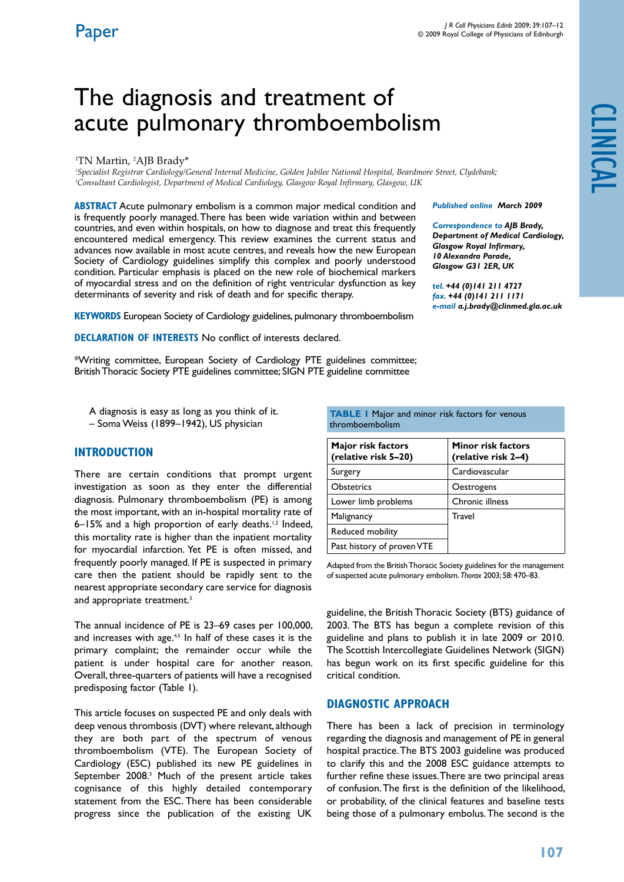*Published online March 2009 Correspondence to AJB Brady, Department of Medical Cardiology,*

*e-mail a.j.brady@clinmed.gla.ac.uk*

*Glasgow Royal Infirmary, 10 Alexandra Parade, Glasgow G31 2ER, UK tel. +44 (0)141 211 4727 fax. +44 (0)141 211 1171*

# The diagnosis and treatment of acute pulmonary thromboembolism

#### <sup>1</sup>TN Martin, <sup>2</sup>AJB Brady\*

*1 Specialist Registrar Cardiology/General Internal Medicine, Golden Jubilee National Hospital, Beardmore Street, Clydebank; 2 Consultant Cardiologist, Department of Medical Cardiology, Glasgow Royal Infirmary, Glasgow, UK*

**ABSTRACT** Acute pulmonary embolism is a common major medical condition and is frequently poorly managed. There has been wide variation within and between countries, and even within hospitals, on how to diagnose and treat this frequently encountered medical emergency. This review examines the current status and advances now available in most acute centres, and reveals how the new European Society of Cardiology guidelines simplify this complex and poorly understood condition. Particular emphasis is placed on the new role of biochemical markers of myocardial stress and on the definition of right ventricular dysfunction as key determinants of severity and risk of death and for specific therapy.

**KEYWORDS** European Society of Cardiology guidelines, pulmonary thromboembolism

**Declaration of Interests** No conflict of interests declared.

\*Writing committee, European Society of Cardiology PTE guidelines committee; British Thoracic Society PTE guidelines committee; SIGN PTE guideline committee

A diagnosis is easy as long as you think of it. – Soma Weiss (1899–1942), US physician

#### **Introduction**

There are certain conditions that prompt urgent investigation as soon as they enter the differential diagnosis. Pulmonary thromboembolism (PE) is among the most important, with an in-hospital mortality rate of 6–15% and a high proportion of early deaths.1,2 Indeed, this mortality rate is higher than the inpatient mortality for myocardial infarction. Yet PE is often missed, and frequently poorly managed. If PE is suspected in primary care then the patient should be rapidly sent to the nearest appropriate secondary care service for diagnosis and appropriate treatment.<sup>3</sup>

The annual incidence of PE is 23–69 cases per 100,000, and increases with age.<sup> $4,5$ </sup> In half of these cases it is the primary complaint; the remainder occur while the patient is under hospital care for another reason. Overall, three-quarters of patients will have a recognised predisposing factor (Table 1).

This article focuses on suspected PE and only deals with deep venous thrombosis (DVT) where relevant, although they are both part of the spectrum of venous thromboembolism (VTE). The European Society of Cardiology (ESC) published its new PE guidelines in September 2008.<sup>3</sup> Much of the present article takes cognisance of this highly detailed contemporary statement from the ESC. There has been considerable progress since the publication of the existing UK

**TABLE 1 Major and minor risk factors for venous** 

thromboembolism

| Major risk factors<br>(relative risk 5-20) | <b>Minor risk factors</b><br>(relative risk 2-4) |
|--------------------------------------------|--------------------------------------------------|
| Surgery                                    | Cardiovascular                                   |
| <b>Obstetrics</b>                          | Oestrogens                                       |
| Lower limb problems                        | Chronic illness                                  |
| Malignancy                                 | Travel                                           |
| <b>Reduced mobility</b>                    |                                                  |
| Past history of proven VTE                 |                                                  |

Adapted from the British Thoracic Society guidelines for the management of suspected acute pulmonary embolism. *Thorax* 2003; 58: 470–83.

guideline, the British Thoracic Society (BTS) guidance of 2003. The BTS has begun a complete revision of this guideline and plans to publish it in late 2009 or 2010. The Scottish Intercollegiate Guidelines Network (SIGN) has begun work on its first specific guideline for this critical condition.

# **Diagnostic approach**

There has been a lack of precision in terminology regarding the diagnosis and management of PE in general hospital practice. The BTS 2003 guideline was produced to clarify this and the 2008 ESC guidance attempts to further refine these issues. There are two principal areas of confusion. The first is the definition of the likelihood, or probability, of the clinical features and baseline tests being those of a pulmonary embolus. The second is the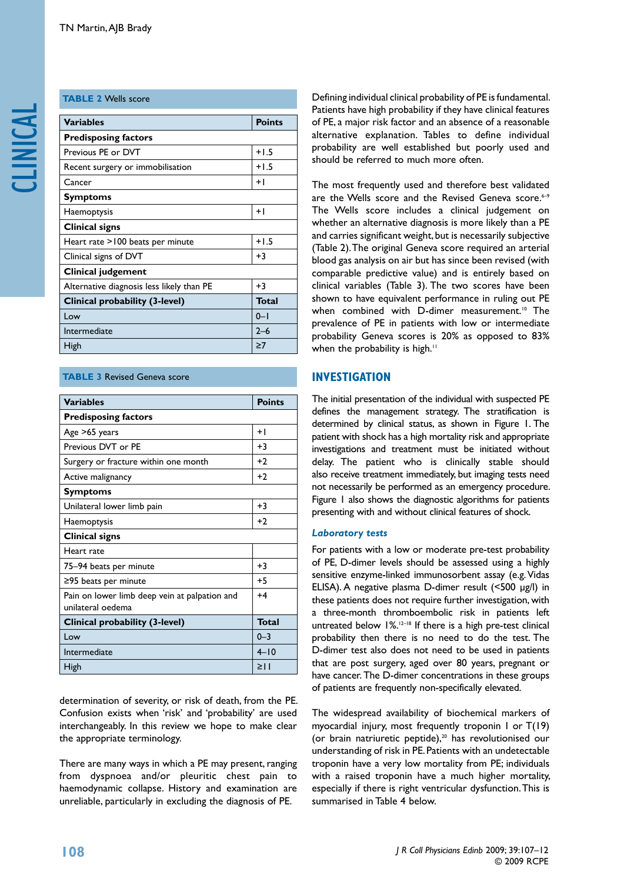# **table 2** Wells score

| <b>Variables</b>                          | <b>Points</b> |
|-------------------------------------------|---------------|
| <b>Predisposing factors</b>               |               |
| Previous PE or DVT                        | $+1.5$        |
| Recent surgery or immobilisation          | $+1.5$        |
| Cancer                                    | $+1$          |
| <b>Symptoms</b>                           |               |
| Haemoptysis                               | $+1$          |
| Clinical signs                            |               |
| Heart rate >100 beats per minute          | $+1.5$        |
| Clinical signs of DVT                     | $+3$          |
| <b>Clinical judgement</b>                 |               |
| Alternative diagnosis less likely than PE | $+3$          |
| Clinical probability (3-level)            | <b>Total</b>  |
| Low                                       | $0 - 1$       |
| Intermediate                              | $2 - 6$       |
| <b>High</b>                               | $\geq 7$      |

# **TABLE 3 Revised Geneva score**

| <b>Variables</b>                                                   | <b>Points</b> |  |  |
|--------------------------------------------------------------------|---------------|--|--|
| <b>Predisposing factors</b>                                        |               |  |  |
| Age >65 years                                                      | $+1$          |  |  |
| Previous DVT or PE                                                 | $+3$          |  |  |
| Surgery or fracture within one month                               | $+2$          |  |  |
| Active malignancy                                                  | $+2$          |  |  |
| <b>Symptoms</b>                                                    |               |  |  |
| Unilateral lower limb pain                                         | $+3$          |  |  |
| Haemoptysis                                                        | $+2$          |  |  |
| <b>Clinical signs</b>                                              |               |  |  |
| Heart rate                                                         |               |  |  |
| 75-94 beats per minute                                             | $+3$          |  |  |
| $\geq$ 95 beats per minute                                         | $+5$          |  |  |
| Pain on lower limb deep vein at palpation and<br>unilateral oedema | $+4$          |  |  |
| Clinical probability (3-level)                                     | <b>Total</b>  |  |  |
| Low                                                                | $0 - 3$       |  |  |
| Intermediate                                                       | $4 - 10$      |  |  |
| High                                                               | $\geq$        |  |  |

determination of severity, or risk of death, from the PE. Confusion exists when 'risk' and 'probability' are used interchangeably. In this review we hope to make clear the appropriate terminology.

There are many ways in which a PE may present, ranging from dyspnoea and/or pleuritic chest pain to haemodynamic collapse. History and examination are unreliable, particularly in excluding the diagnosis of PE.

Defining individual clinical probability of PE is fundamental. Patients have high probability if they have clinical features of PE, a major risk factor and an absence of a reasonable alternative explanation. Tables to define individual probability are well established but poorly used and should be referred to much more often.

The most frequently used and therefore best validated are the Wells score and the Revised Geneva score.<sup>6-9</sup> The Wells score includes a clinical judgement on whether an alternative diagnosis is more likely than a PE and carries significant weight, but is necessarily subjective (Table 2). The original Geneva score required an arterial blood gas analysis on air but has since been revised (with comparable predictive value) and is entirely based on clinical variables (Table 3). The two scores have been shown to have equivalent performance in ruling out PE when combined with D-dimer measurement.<sup>10</sup> The prevalence of PE in patients with low or intermediate probability Geneva scores is 20% as opposed to 83% when the probability is high.<sup>11</sup>

# **Investigation**

The initial presentation of the individual with suspected PE defines the management strategy. The stratification is determined by clinical status, as shown in Figure 1. The patient with shock has a high mortality risk and appropriate investigations and treatment must be initiated without delay. The patient who is clinically stable should also receive treatment immediately, but imaging tests need not necessarily be performed as an emergency procedure. Figure 1 also shows the diagnostic algorithms for patients presenting with and without clinical features of shock.

#### *Laboratory tests*

For patients with a low or moderate pre-test probability of PE, D-dimer levels should be assessed using a highly sensitive enzyme-linked immunosorbent assay (e.g. Vidas ELISA). A negative plasma D-dimer result (<500 μg/l) in these patients does not require further investigation, with a three-month thromboembolic risk in patients left untreated below 1%.<sup>12–18</sup> If there is a high pre-test clinical probability then there is no need to do the test. The D-dimer test also does not need to be used in patients that are post surgery, aged over 80 years, pregnant or have cancer. The D-dimer concentrations in these groups of patients are frequently non-specifically elevated.

The widespread availability of biochemical markers of myocardial injury, most frequently troponin I or T(19) (or brain natriuretic peptide), $20$  has revolutionised our understanding of risk in PE. Patients with an undetectable troponin have a very low mortality from PE; individuals with a raised troponin have a much higher mortality, especially if there is right ventricular dysfunction. This is summarised in Table 4 below.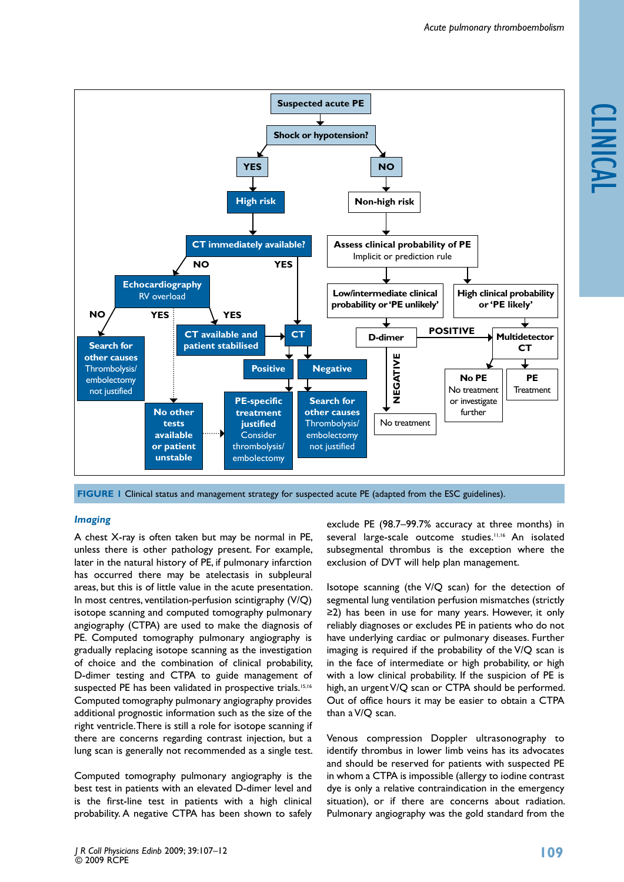



**Figure 1** Clinical status and management strategy for suspected acute PE (adapted from the ESC guidelines).

#### *Imaging*

A chest X-ray is often taken but may be normal in PE, unless there is other pathology present. For example, later in the natural history of PE, if pulmonary infarction has occurred there may be atelectasis in subpleural areas, but this is of little value in the acute presentation. In most centres, ventilation-perfusion scintigraphy (V/Q) isotope scanning and computed tomography pulmonary angiography (CTPA) are used to make the diagnosis of PE. Computed tomography pulmonary angiography is gradually replacing isotope scanning as the investigation of choice and the combination of clinical probability, D-dimer testing and CTPA to guide management of suspected PE has been validated in prospective trials.<sup>15,16</sup> Computed tomography pulmonary angiography provides additional prognostic information such as the size of the right ventricle. There is still a role for isotope scanning if there are concerns regarding contrast injection, but a lung scan is generally not recommended as a single test.

Computed tomography pulmonary angiography is the best test in patients with an elevated D-dimer level and is the first-line test in patients with a high clinical probability. A negative CTPA has been shown to safely

exclude PE (98.7–99.7% accuracy at three months) in several large-scale outcome studies.<sup>11,16</sup> An isolated subsegmental thrombus is the exception where the exclusion of DVT will help plan management.

Isotope scanning (the V/Q scan) for the detection of segmental lung ventilation perfusion mismatches (strictly ≥2) has been in use for many years. However, it only reliably diagnoses or excludes PE in patients who do not have underlying cardiac or pulmonary diseases. Further imaging is required if the probability of the V/Q scan is in the face of intermediate or high probability, or high with a low clinical probability. If the suspicion of PE is high, an urgent V/Q scan or CTPA should be performed. Out of office hours it may be easier to obtain a CTPA than a V/Q scan.

Venous compression Doppler ultrasonography to identify thrombus in lower limb veins has its advocates and should be reserved for patients with suspected PE in whom a CTPA is impossible (allergy to iodine contrast dye is only a relative contraindication in the emergency situation), or if there are concerns about radiation. Pulmonary angiography was the gold standard from the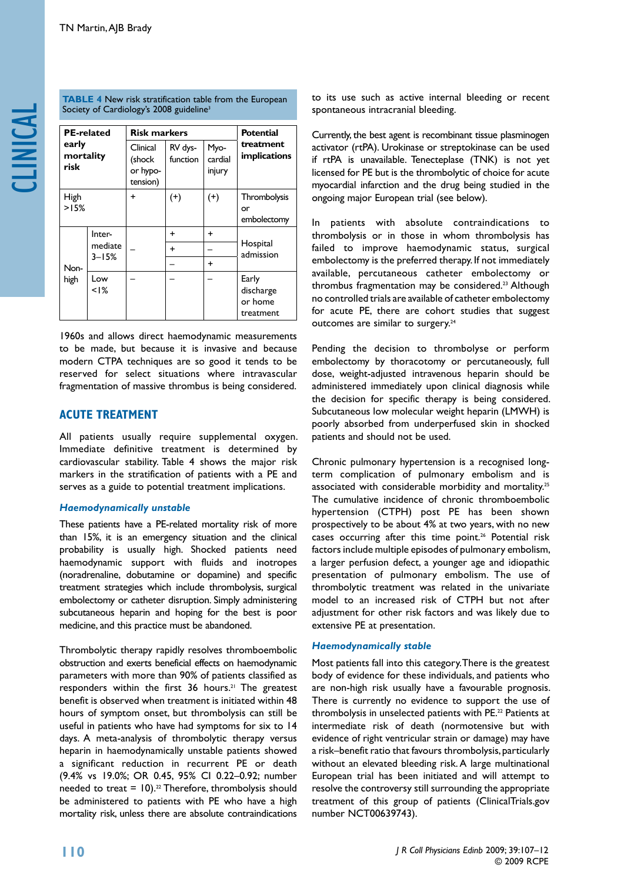**TABLE 4** New risk stratification table from the European Society of Cardiology's 2008 guideline<sup>3</sup>

| <b>PE-related</b><br>early<br>mortality<br>risk |                                | <b>Risk markers</b>                        |                     |                           | Potential                                  |
|-------------------------------------------------|--------------------------------|--------------------------------------------|---------------------|---------------------------|--------------------------------------------|
|                                                 |                                | Clinical<br>(shock<br>or hypo-<br>tension) | RV dys-<br>function | Myo-<br>cardial<br>injury | treatment<br>implications                  |
| High<br>>15%                                    |                                | ÷                                          | $^{(+)}$            | $^{(+)}$                  | Thrombolysis<br>or                         |
|                                                 |                                |                                            |                     |                           | embolectomy                                |
| Non-<br>high                                    | Inter-<br>mediate<br>$3 - 15%$ |                                            | ÷                   | ÷                         | Hospital<br>admission                      |
|                                                 |                                |                                            | $\ddot{}$           |                           |                                            |
|                                                 |                                |                                            |                     | +                         |                                            |
|                                                 | Low<br>$< 1\%$                 |                                            |                     |                           | Early<br>discharge<br>or home<br>treatment |

1960s and allows direct haemodynamic measurements to be made, but because it is invasive and because modern CTPA techniques are so good it tends to be reserved for select situations where intravascular fragmentation of massive thrombus is being considered.

# **Acute Treatment**

All patients usually require supplemental oxygen. Immediate definitive treatment is determined by cardiovascular stability. Table 4 shows the major risk markers in the stratification of patients with a PE and serves as a guide to potential treatment implications.

#### *Haemodynamically unstable*

These patients have a PE-related mortality risk of more than 15%, it is an emergency situation and the clinical probability is usually high. Shocked patients need haemodynamic support with fluids and inotropes (noradrenaline, dobutamine or dopamine) and specific treatment strategies which include thrombolysis, surgical embolectomy or catheter disruption. Simply administering subcutaneous heparin and hoping for the best is poor medicine, and this practice must be abandoned.

Thrombolytic therapy rapidly resolves thromboembolic obstruction and exerts beneficial effects on haemodynamic parameters with more than 90% of patients classified as responders within the first 36 hours.<sup>21</sup> The greatest benefit is observed when treatment is initiated within 48 hours of symptom onset, but thrombolysis can still be useful in patients who have had symptoms for six to 14 days. A meta-analysis of thrombolytic therapy versus heparin in haemodynamically unstable patients showed a significant reduction in recurrent PE or death (9.4% vs 19.0%; OR 0.45, 95% CI 0.22–0.92; number needed to treat =  $10$ ).<sup>22</sup> Therefore, thrombolysis should be administered to patients with PE who have a high mortality risk, unless there are absolute contraindications

to its use such as active internal bleeding or recent spontaneous intracranial bleeding.

Currently, the best agent is recombinant tissue plasminogen activator (rtPA). Urokinase or streptokinase can be used if rtPA is unavailable. Tenecteplase (TNK) is not yet licensed for PE but is the thrombolytic of choice for acute myocardial infarction and the drug being studied in the ongoing major European trial (see below).

In patients with absolute contraindications to thrombolysis or in those in whom thrombolysis has failed to improve haemodynamic status, surgical embolectomy is the preferred therapy. If not immediately available, percutaneous catheter embolectomy or thrombus fragmentation may be considered.23 Although no controlled trials are available of catheter embolectomy for acute PE, there are cohort studies that suggest outcomes are similar to surgery.<sup>24</sup>

Pending the decision to thrombolyse or perform embolectomy by thoracotomy or percutaneously, full dose, weight-adjusted intravenous heparin should be administered immediately upon clinical diagnosis while the decision for specific therapy is being considered. Subcutaneous low molecular weight heparin (LMWH) is poorly absorbed from underperfused skin in shocked patients and should not be used.

Chronic pulmonary hypertension is a recognised longterm complication of pulmonary embolism and is associated with considerable morbidity and mortality.<sup>25</sup> The cumulative incidence of chronic thromboembolic hypertension (CTPH) post PE has been shown prospectively to be about 4% at two years, with no new cases occurring after this time point.<sup>26</sup> Potential risk factors include multiple episodes of pulmonary embolism, a larger perfusion defect, a younger age and idiopathic presentation of pulmonary embolism. The use of thrombolytic treatment was related in the univariate model to an increased risk of CTPH but not after adjustment for other risk factors and was likely due to extensive PE at presentation.

#### *Haemodynamically stable*

Most patients fall into this category. There is the greatest body of evidence for these individuals, and patients who are non-high risk usually have a favourable prognosis. There is currently no evidence to support the use of thrombolysis in unselected patients with PE.<sup>22</sup> Patients at intermediate risk of death (normotensive but with evidence of right ventricular strain or damage) may have a risk–benefit ratio that favours thrombolysis, particularly without an elevated bleeding risk. A large multinational European trial has been initiated and will attempt to resolve the controversy still surrounding the appropriate treatment of this group of patients (ClinicalTrials.gov number NCT00639743).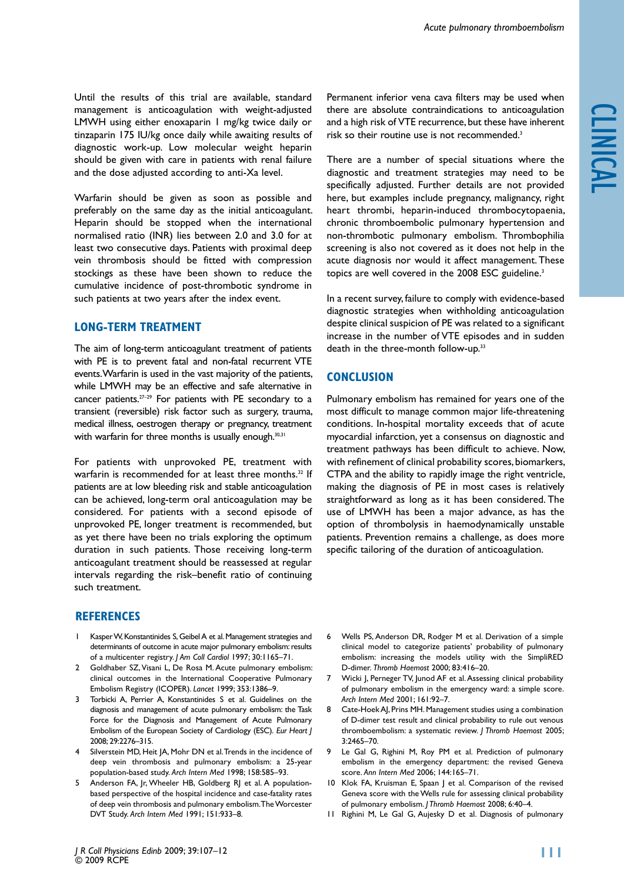Until the results of this trial are available, standard management is anticoagulation with weight-adjusted LMWH using either enoxaparin 1 mg/kg twice daily or tinzaparin 175 IU/kg once daily while awaiting results of diagnostic work-up. Low molecular weight heparin should be given with care in patients with renal failure and the dose adjusted according to anti-Xa level.

Warfarin should be given as soon as possible and preferably on the same day as the initial anticoagulant. Heparin should be stopped when the international normalised ratio (INR) lies between 2.0 and 3.0 for at least two consecutive days. Patients with proximal deep vein thrombosis should be fitted with compression stockings as these have been shown to reduce the cumulative incidence of post-thrombotic syndrome in such patients at two years after the index event.

# **Long-term treatment**

The aim of long-term anticoagulant treatment of patients with PE is to prevent fatal and non-fatal recurrent VTE events. Warfarin is used in the vast majority of the patients, while LMWH may be an effective and safe alternative in cancer patients.<sup>27-29</sup> For patients with PE secondary to a transient (reversible) risk factor such as surgery, trauma, medical illness, oestrogen therapy or pregnancy, treatment with warfarin for three months is usually enough.<sup>30,31</sup>

For patients with unprovoked PE, treatment with warfarin is recommended for at least three months.<sup>32</sup> If patients are at low bleeding risk and stable anticoagulation can be achieved, long-term oral anticoagulation may be considered. For patients with a second episode of unprovoked PE, longer treatment is recommended, but as yet there have been no trials exploring the optimum duration in such patients. Those receiving long-term anticoagulant treatment should be reassessed at regular intervals regarding the risk–benefit ratio of continuing such treatment.

# **References**

- 1 Kasper W, Konstantinides S, Geibel A et al. Management strategies and determinants of outcome in acute major pulmonary embolism: results of a multicenter registry. *J Am Coll Cardiol* 1997; 30:1165–71.
- 2 Goldhaber SZ, Visani L, De Rosa M. Acute pulmonary embolism: clinical outcomes in the International Cooperative Pulmonary Embolism Registry (ICOPER). *Lancet* 1999; 353:1386–9.
- Torbicki A, Perrier A, Konstantinides S et al. Guidelines on the diagnosis and management of acute pulmonary embolism: the Task Force for the Diagnosis and Management of Acute Pulmonary Embolism of the European Society of Cardiology (ESC). *Eur Heart J*  2008; 29:2276–315.
- 4 Silverstein MD, Heit JA, Mohr DN et al. Trends in the incidence of deep vein thrombosis and pulmonary embolism: a 25-year population-based study. *Arch Intern Med* 1998; 158:585–93.
- 5 Anderson FA, Jr, Wheeler HB, Goldberg RJ et al. A populationbased perspective of the hospital incidence and case-fatality rates of deep vein thrombosis and pulmonary embolism. The Worcester DVT Study. *Arch Intern Med* 1991; 151:933–8.

Permanent inferior vena cava filters may be used when there are absolute contraindications to anticoagulation and a high risk of VTE recurrence, but these have inherent risk so their routine use is not recommended.3

There are a number of special situations where the diagnostic and treatment strategies may need to be specifically adjusted. Further details are not provided here, but examples include pregnancy, malignancy, right heart thrombi, heparin-induced thrombocytopaenia, chronic thromboembolic pulmonary hypertension and non-thrombotic pulmonary embolism. Thrombophilia screening is also not covered as it does not help in the acute diagnosis nor would it affect management. These topics are well covered in the 2008 ESC guideline.<sup>3</sup>

In a recent survey, failure to comply with evidence-based diagnostic strategies when withholding anticoagulation despite clinical suspicion of PE was related to a significant increase in the number of VTE episodes and in sudden death in the three-month follow-up.<sup>33</sup>

# **Conclusion**

Pulmonary embolism has remained for years one of the most difficult to manage common major life-threatening conditions. In-hospital mortality exceeds that of acute myocardial infarction, yet a consensus on diagnostic and treatment pathways has been difficult to achieve. Now, with refinement of clinical probability scores, biomarkers, CTPA and the ability to rapidly image the right ventricle, making the diagnosis of PE in most cases is relatively straightforward as long as it has been considered. The use of LMWH has been a major advance, as has the option of thrombolysis in haemodynamically unstable patients. Prevention remains a challenge, as does more specific tailoring of the duration of anticoagulation.

- 6 Wells PS, Anderson DR, Rodger M et al. Derivation of a simple clinical model to categorize patients' probability of pulmonary embolism: increasing the models utility with the SimpliRED D-dimer. *Thromb Haemost* 2000; 83:416–20.
- 7 Wicki J, Perneger TV, Junod AF et al. Assessing clinical probability of pulmonary embolism in the emergency ward: a simple score. *Arch Intern Med* 2001; 161:92–7.
- 8 Cate-Hoek AJ, Prins MH. Management studies using a combination of D-dimer test result and clinical probability to rule out venous thromboembolism: a systematic review. *J Thromb Haemost* 2005; 3:2465–70.
- 9 Le Gal G, Righini M, Roy PM et al. Prediction of pulmonary embolism in the emergency department: the revised Geneva score. *Ann Intern Med* 2006; 144:165–71.
- 10 Klok FA, Kruisman E, Spaan J et al. Comparison of the revised Geneva score with the Wells rule for assessing clinical probability of pulmonary embolism. *J Thromb Haemost* 2008; 6:40–4.
- 11 Righini M, Le Gal G, Aujesky D et al. Diagnosis of pulmonary